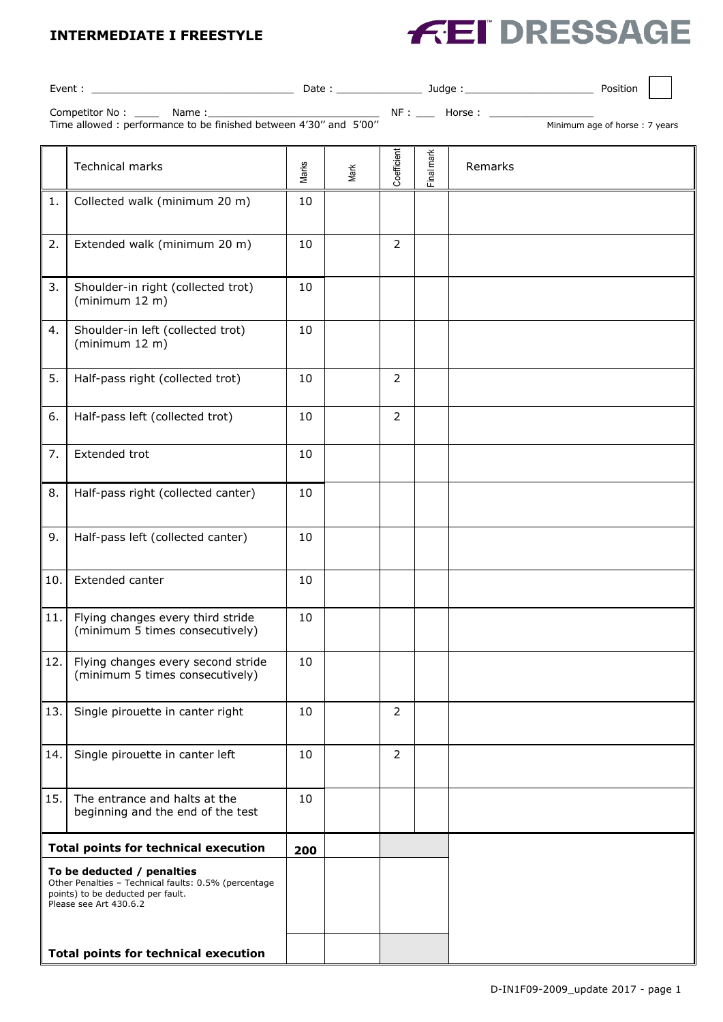## **INTERMEDIATE I FREESTYLE**



| Event :                                                                                                                                           |                                                                       |       |      |                |            |         | Position |
|---------------------------------------------------------------------------------------------------------------------------------------------------|-----------------------------------------------------------------------|-------|------|----------------|------------|---------|----------|
|                                                                                                                                                   |                                                                       |       |      |                |            |         |          |
| Minimum age of horse: 7 years                                                                                                                     |                                                                       |       |      |                |            |         |          |
|                                                                                                                                                   | <b>Technical marks</b>                                                | Marks | Mark | Coefficient    | Final mark | Remarks |          |
| 1.                                                                                                                                                | Collected walk (minimum 20 m)                                         | 10    |      |                |            |         |          |
| 2.                                                                                                                                                | Extended walk (minimum 20 m)                                          | 10    |      | 2              |            |         |          |
| 3.                                                                                                                                                | Shoulder-in right (collected trot)<br>(minimum 12 m)                  | 10    |      |                |            |         |          |
| 4.                                                                                                                                                | Shoulder-in left (collected trot)<br>(minimum 12 m)                   | 10    |      |                |            |         |          |
| 5.                                                                                                                                                | Half-pass right (collected trot)                                      | 10    |      | $\overline{2}$ |            |         |          |
| 6.                                                                                                                                                | Half-pass left (collected trot)                                       | 10    |      | 2              |            |         |          |
| 7.                                                                                                                                                | Extended trot                                                         | 10    |      |                |            |         |          |
| 8.                                                                                                                                                | Half-pass right (collected canter)                                    | 10    |      |                |            |         |          |
| 9.                                                                                                                                                | Half-pass left (collected canter)                                     | 10    |      |                |            |         |          |
| 10.                                                                                                                                               | Extended canter                                                       | 10    |      |                |            |         |          |
| 11.                                                                                                                                               | Flying changes every third stride<br>(minimum 5 times consecutively)  | 10    |      |                |            |         |          |
| 12.                                                                                                                                               | Flying changes every second stride<br>(minimum 5 times consecutively) | 10    |      |                |            |         |          |
| 13.                                                                                                                                               | Single pirouette in canter right                                      | 10    |      | 2              |            |         |          |
| 14.                                                                                                                                               | Single pirouette in canter left                                       | 10    |      | $\overline{2}$ |            |         |          |
| 15.                                                                                                                                               | The entrance and halts at the<br>beginning and the end of the test    | 10    |      |                |            |         |          |
| <b>Total points for technical execution</b>                                                                                                       |                                                                       | 200   |      |                |            |         |          |
| To be deducted / penalties<br>Other Penalties - Technical faults: 0.5% (percentage<br>points) to be deducted per fault.<br>Please see Art 430.6.2 |                                                                       |       |      |                |            |         |          |
| <b>Total points for technical execution</b>                                                                                                       |                                                                       |       |      |                |            |         |          |